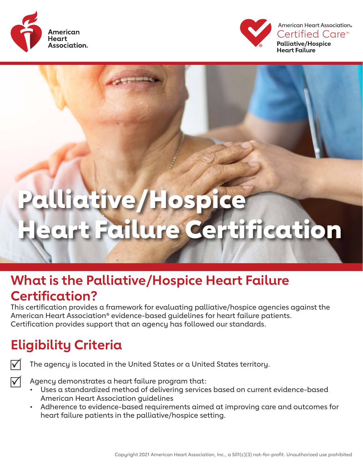



# Palliative/Hospice Heart Failure Certification

## **What is the Palliative/Hospice Heart Failure Certification?**

This certification provides a framework for evaluating palliative/hospice agencies against the American Heart Association® evidence-based guidelines for heart failure patients. Certification provides support that an agency has followed our standards.

## **Eligibility Criteria**

The agency is located in the United States or a United States territory.

 $\Delta$ 

- Agency demonstrates a heart failure program that:
- Uses a standardized method of delivering services based on current evidence-based American Heart Association guidelines
- Adherence to evidence-based requirements aimed at improving care and outcomes for heart failure patients in the palliative/hospice setting.